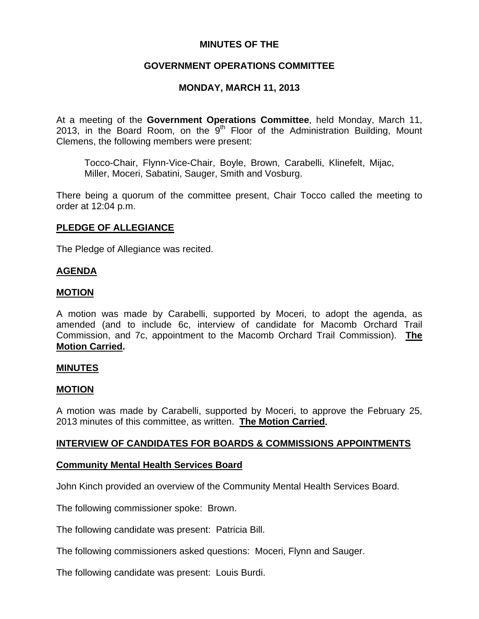## **MINUTES OF THE**

## **GOVERNMENT OPERATIONS COMMITTEE**

## **MONDAY, MARCH 11, 2013**

At a meeting of the **Government Operations Committee**, held Monday, March 11, 2013, in the Board Room, on the  $9<sup>th</sup>$  Floor of the Administration Building, Mount Clemens, the following members were present:

Tocco-Chair, Flynn-Vice-Chair, Boyle, Brown, Carabelli, Klinefelt, Mijac, Miller, Moceri, Sabatini, Sauger, Smith and Vosburg.

There being a quorum of the committee present, Chair Tocco called the meeting to order at 12:04 p.m.

## **PLEDGE OF ALLEGIANCE**

The Pledge of Allegiance was recited.

#### **AGENDA**

#### **MOTION**

A motion was made by Carabelli, supported by Moceri, to adopt the agenda, as amended (and to include 6c, interview of candidate for Macomb Orchard Trail Commission, and 7c, appointment to the Macomb Orchard Trail Commission). **The Motion Carried.** 

#### **MINUTES**

#### **MOTION**

A motion was made by Carabelli, supported by Moceri, to approve the February 25, 2013 minutes of this committee, as written. **The Motion Carried.** 

## **INTERVIEW OF CANDIDATES FOR BOARDS & COMMISSIONS APPOINTMENTS**

#### **Community Mental Health Services Board**

John Kinch provided an overview of the Community Mental Health Services Board.

The following commissioner spoke: Brown.

The following candidate was present: Patricia Bill.

The following commissioners asked questions: Moceri, Flynn and Sauger.

The following candidate was present: Louis Burdi.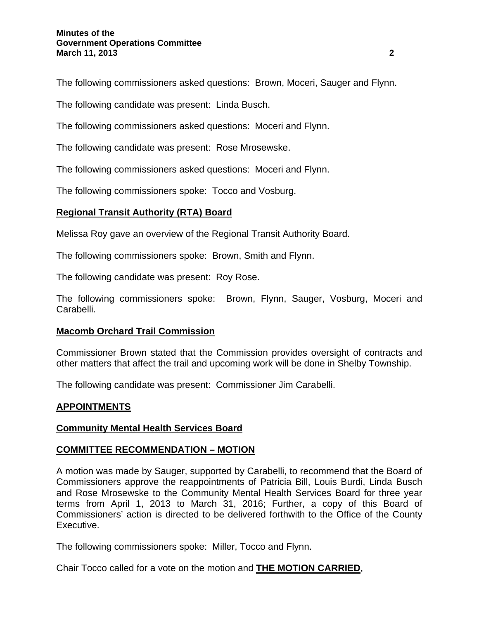The following commissioners asked questions: Brown, Moceri, Sauger and Flynn.

The following candidate was present: Linda Busch.

The following commissioners asked questions: Moceri and Flynn.

The following candidate was present: Rose Mrosewske.

The following commissioners asked questions: Moceri and Flynn.

The following commissioners spoke: Tocco and Vosburg.

# **Regional Transit Authority (RTA) Board**

Melissa Roy gave an overview of the Regional Transit Authority Board.

The following commissioners spoke: Brown, Smith and Flynn.

The following candidate was present: Roy Rose.

The following commissioners spoke: Brown, Flynn, Sauger, Vosburg, Moceri and Carabelli.

## **Macomb Orchard Trail Commission**

Commissioner Brown stated that the Commission provides oversight of contracts and other matters that affect the trail and upcoming work will be done in Shelby Township.

The following candidate was present: Commissioner Jim Carabelli.

## **APPOINTMENTS**

## **Community Mental Health Services Board**

## **COMMITTEE RECOMMENDATION – MOTION**

A motion was made by Sauger, supported by Carabelli, to recommend that the Board of Commissioners approve the reappointments of Patricia Bill, Louis Burdi, Linda Busch and Rose Mrosewske to the Community Mental Health Services Board for three year terms from April 1, 2013 to March 31, 2016; Further, a copy of this Board of Commissioners' action is directed to be delivered forthwith to the Office of the County Executive.

The following commissioners spoke: Miller, Tocco and Flynn.

Chair Tocco called for a vote on the motion and **THE MOTION CARRIED.**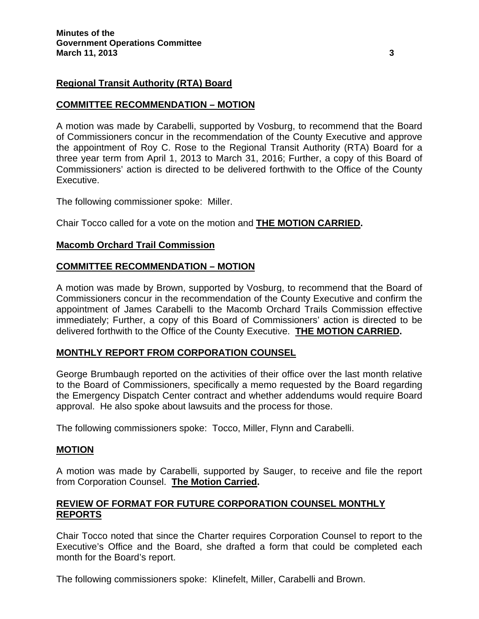#### **Regional Transit Authority (RTA) Board**

#### **COMMITTEE RECOMMENDATION – MOTION**

A motion was made by Carabelli, supported by Vosburg, to recommend that the Board of Commissioners concur in the recommendation of the County Executive and approve the appointment of Roy C. Rose to the Regional Transit Authority (RTA) Board for a three year term from April 1, 2013 to March 31, 2016; Further, a copy of this Board of Commissioners' action is directed to be delivered forthwith to the Office of the County Executive.

The following commissioner spoke: Miller.

Chair Tocco called for a vote on the motion and **THE MOTION CARRIED.** 

#### **Macomb Orchard Trail Commission**

#### **COMMITTEE RECOMMENDATION – MOTION**

A motion was made by Brown, supported by Vosburg, to recommend that the Board of Commissioners concur in the recommendation of the County Executive and confirm the appointment of James Carabelli to the Macomb Orchard Trails Commission effective immediately; Further, a copy of this Board of Commissioners' action is directed to be delivered forthwith to the Office of the County Executive. **THE MOTION CARRIED.** 

#### **MONTHLY REPORT FROM CORPORATION COUNSEL**

George Brumbaugh reported on the activities of their office over the last month relative to the Board of Commissioners, specifically a memo requested by the Board regarding the Emergency Dispatch Center contract and whether addendums would require Board approval. He also spoke about lawsuits and the process for those.

The following commissioners spoke: Tocco, Miller, Flynn and Carabelli.

#### **MOTION**

A motion was made by Carabelli, supported by Sauger, to receive and file the report from Corporation Counsel. **The Motion Carried.** 

#### **REVIEW OF FORMAT FOR FUTURE CORPORATION COUNSEL MONTHLY REPORTS**

Chair Tocco noted that since the Charter requires Corporation Counsel to report to the Executive's Office and the Board, she drafted a form that could be completed each month for the Board's report.

The following commissioners spoke: Klinefelt, Miller, Carabelli and Brown.